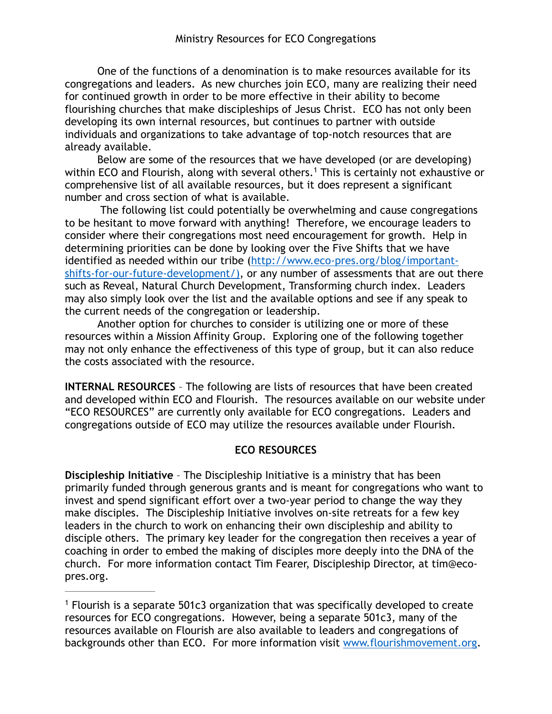One of the functions of a denomination is to make resources available for its congregations and leaders. As new churches join ECO, many are realizing their need for continued growth in order to be more effective in their ability to become flourishing churches that make discipleships of Jesus Christ. ECO has not only been developing its own internal resources, but continues to partner with outside individuals and organizations to take advantage of top-notch resources that are already available.

Below are some of the resources that we have developed (or are developing) within ECO and Flourish, along with several others.<sup>1</sup> This is certainly not exhaustive or comprehensive list of all available resources, but it does represent a significant number and cross section of what is available.

 The following list could potentially be overwhelming and cause congregations to be hesitant to move forward with anything! Therefore, we encourage leaders to consider where their congregations most need encouragement for growth. Help in determining priorities can be done by looking over the Five Shifts that we have [identified as needed within our tribe \(http://www.eco-pres.org/blog/important](http://www.eco-pres.org/blog/important-shifts-for-our-future-development/))shifts-for-our-future-development/), or any number of assessments that are out there such as Reveal, Natural Church Development, Transforming church index. Leaders may also simply look over the list and the available options and see if any speak to the current needs of the congregation or leadership.

Another option for churches to consider is utilizing one or more of these resources within a Mission Affinity Group. Exploring one of the following together may not only enhance the effectiveness of this type of group, but it can also reduce the costs associated with the resource.

**INTERNAL RESOURCES** – The following are lists of resources that have been created and developed within ECO and Flourish. The resources available on our website under "ECO RESOURCES" are currently only available for ECO congregations. Leaders and congregations outside of ECO may utilize the resources available under Flourish.

# **ECO RESOURCES**

**Discipleship Initiative** – The Discipleship Initiative is a ministry that has been primarily funded through generous grants and is meant for congregations who want to invest and spend significant effort over a two-year period to change the way they make disciples. The Discipleship Initiative involves on-site retreats for a few key leaders in the church to work on enhancing their own discipleship and ability to disciple others. The primary key leader for the congregation then receives a year of coaching in order to embed the making of disciples more deeply into the DNA of the church. For more information contact Tim Fearer, Discipleship Director, at tim@ecopres.org.

 $1$  Flourish is a separate 501c3 organization that was specifically developed to create resources for ECO congregations. However, being a separate 501c3, many of the resources available on Flourish are also available to leaders and congregations of backgrounds other than ECO. For more information visit [www.flourishmovement.org](http://www.flourishmovement.org).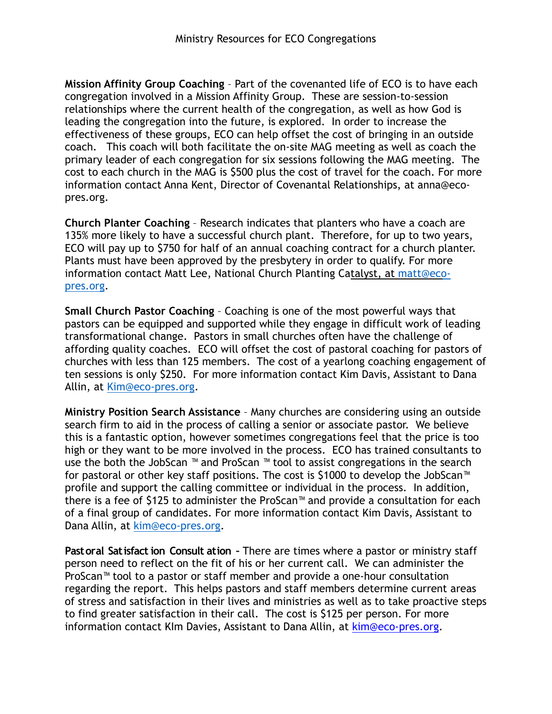**Mission Affinity Group Coaching** – Part of the covenanted life of ECO is to have each congregation involved in a Mission Affinity Group. These are session-to-session relationships where the current health of the congregation, as well as how God is leading the congregation into the future, is explored. In order to increase the effectiveness of these groups, ECO can help offset the cost of bringing in an outside coach. This coach will both facilitate the on-site MAG meeting as well as coach the primary leader of each congregation for six sessions following the MAG meeting. The cost to each church in the MAG is \$500 plus the cost of travel for the coach. For more information contact Anna Kent, Director of Covenantal Relationships, at anna@ecopres.org.

**Church Planter Coaching** – Research indicates that planters who have a coach are 135% more likely to have a successful church plant. Therefore, for up to two years, ECO will pay up to \$750 for half of an annual coaching contract for a church planter. Plants must have been approved by the presbytery in order to qualify. For more [information contact Matt Lee, National Church Planting Catalyst, at](mailto:matt@eco-pres.org) matt@ecopres.org.

**Small Church Pastor Coaching** – Coaching is one of the most powerful ways that pastors can be equipped and supported while they engage in difficult work of leading transformational change. Pastors in small churches often have the challenge of affording quality coaches. ECO will offset the cost of pastoral coaching for pastors of churches with less than 125 members. The cost of a yearlong coaching engagement of ten sessions is only \$250. For more information contact Kim Davis, Assistant to Dana Allin, at Kim[@eco-pres.org.](mailto:kim@eco-pres.org)

**Ministry Position Search Assistance** – Many churches are considering using an outside search firm to aid in the process of calling a senior or associate pastor. We believe this is a fantastic option, however sometimes congregations feel that the price is too high or they want to be more involved in the process. ECO has trained consultants to use the both the JobScan ™ and ProScan ™ tool to assist congregations in the search for pastoral or other key staff positions. The cost is \$1000 to develop the JobScan™ profile and support the calling committee or individual in the process. In addition, there is a fee of \$125 to administer the ProScan™ and provide a consultation for each of a final group of candidates. For more information contact Kim Davis, Assistant to Dana Allin, at kim[@eco-pres.org.](mailto:kim@eco-pres.org)

**Pastoral Satisfaction Consult ation –** There are times where a pastor or ministry staff person need to reflect on the fit of his or her current call. We can administer the ProScan™ tool to a pastor or staff member and provide a one-hour consultation regarding the report. This helps pastors and staff members determine current areas of stress and satisfaction in their lives and ministries as well as to take proactive steps to find greater satisfaction in their call. The cost is \$125 per person. For more information contact KIm Davies, Assistant to Dana Allin, at kim[@eco-pres.org](mailto:kim@eco-pres.org).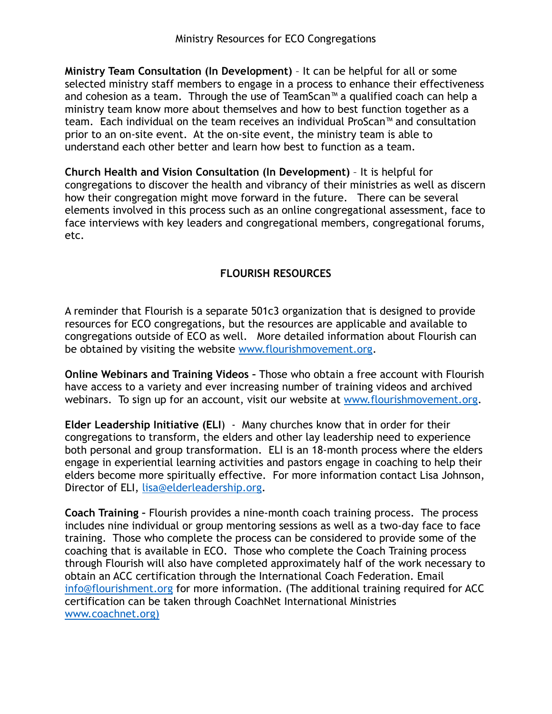**Ministry Team Consultation (In Development)** – It can be helpful for all or some selected ministry staff members to engage in a process to enhance their effectiveness and cohesion as a team. Through the use of TeamScan™ a qualified coach can help a ministry team know more about themselves and how to best function together as a team. Each individual on the team receives an individual ProScan™ and consultation prior to an on-site event. At the on-site event, the ministry team is able to understand each other better and learn how best to function as a team.

**Church Health and Vision Consultation (In Development)** – It is helpful for congregations to discover the health and vibrancy of their ministries as well as discern how their congregation might move forward in the future. There can be several elements involved in this process such as an online congregational assessment, face to face interviews with key leaders and congregational members, congregational forums, etc.

# **FLOURISH RESOURCES**

A reminder that Flourish is a separate 501c3 organization that is designed to provide resources for ECO congregations, but the resources are applicable and available to congregations outside of ECO as well. More detailed information about Flourish can be obtained by visiting the website [www.flourishmovement.org](http://www.flourishmovement.org).

**Online Webinars and Training Videos –** Those who obtain a free account with Flourish have access to a variety and ever increasing number of training videos and archived webinars. To sign up for an account, visit our website at [www.flourishmovement.org](http://www.flourishmovement.org).

**Elder Leadership Initiative (ELI**) - Many churches know that in order for their congregations to transform, the elders and other lay leadership need to experience both personal and group transformation. ELI is an 18-month process where the elders engage in experiential learning activities and pastors engage in coaching to help their elders become more spiritually effective. For more information contact Lisa Johnson, Director of ELI, [lisa@elderleadership.org](mailto:lisa@elderleadership.org).

**Coach Training –** Flourish provides a nine-month coach training process. The process includes nine individual or group mentoring sessions as well as a two-day face to face training. Those who complete the process can be considered to provide some of the coaching that is available in ECO. Those who complete the Coach Training process through Flourish will also have completed approximately half of the work necessary to obtain an ACC certification through the International Coach Federation. Email [info@flourishment.org](mailto:info@flourishment.org) for more information. (The additional training required for ACC certification can be taken through CoachNet International Ministries [www.coachnet.org\)](http://www.coachnet.org))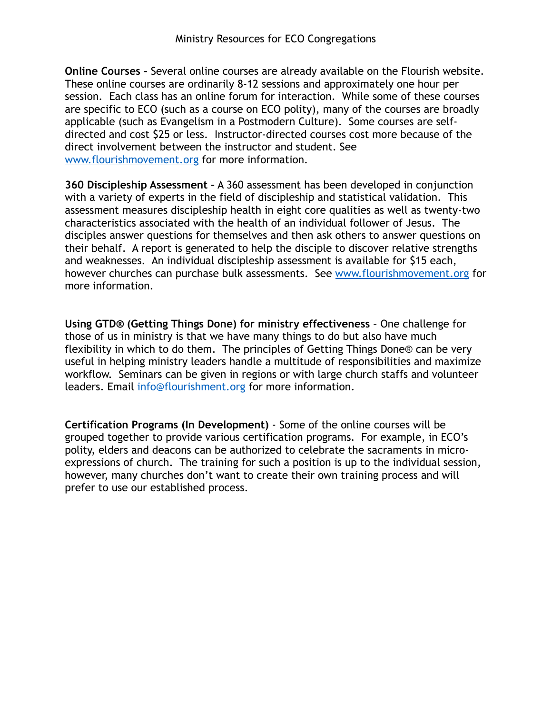**Online Courses –** Several online courses are already available on the Flourish website. These online courses are ordinarily 8-12 sessions and approximately one hour per session. Each class has an online forum for interaction. While some of these courses are specific to ECO (such as a course on ECO polity), many of the courses are broadly applicable (such as Evangelism in a Postmodern Culture). Some courses are selfdirected and cost \$25 or less. Instructor-directed courses cost more because of the direct involvement between the instructor and student. See [www.flourishmovement.org](http://www.flourishmovement.org) for more information.

**360 Discipleship Assessment –** A 360 assessment has been developed in conjunction with a variety of experts in the field of discipleship and statistical validation. This assessment measures discipleship health in eight core qualities as well as twenty-two characteristics associated with the health of an individual follower of Jesus. The disciples answer questions for themselves and then ask others to answer questions on their behalf. A report is generated to help the disciple to discover relative strengths and weaknesses. An individual discipleship assessment is available for \$15 each, however churches can purchase bulk assessments. See [www.flourishmovement.org](http://www.flourishmovement.org) for more information.

**Using GTD® (Getting Things Done) for ministry effectiveness** – One challenge for those of us in ministry is that we have many things to do but also have much flexibility in which to do them. The principles of Getting Things Done® can be very useful in helping ministry leaders handle a multitude of responsibilities and maximize workflow. Seminars can be given in regions or with large church staffs and volunteer leaders. Email [info@flourishment.org](mailto:info@flourishment.org) for more information.

**Certification Programs (In Development)** - Some of the online courses will be grouped together to provide various certification programs. For example, in ECO's polity, elders and deacons can be authorized to celebrate the sacraments in microexpressions of church. The training for such a position is up to the individual session, however, many churches don't want to create their own training process and will prefer to use our established process.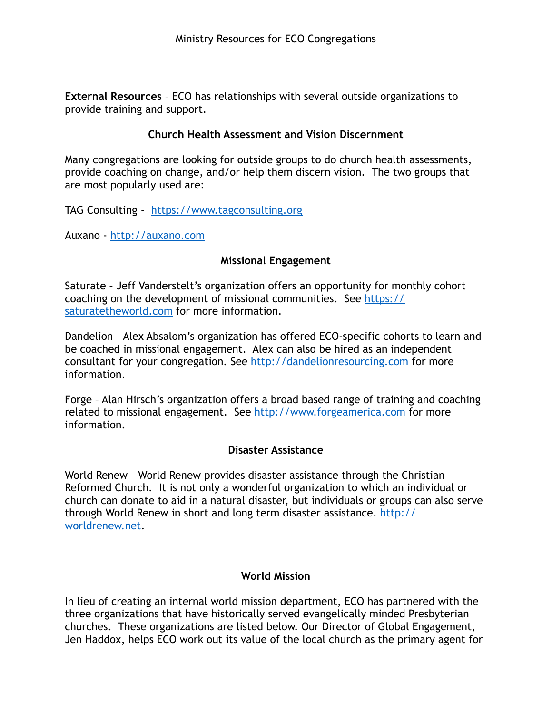**External Resources** – ECO has relationships with several outside organizations to provide training and support.

## **Church Health Assessment and Vision Discernment**

Many congregations are looking for outside groups to do church health assessments, provide coaching on change, and/or help them discern vision. The two groups that are most popularly used are:

TAG Consulting - <https://www.tagconsulting.org>

Auxano - <http://auxano.com>

### **Missional Engagement**

Saturate – Jeff Vanderstelt's organization offers an opportunity for monthly cohort [coaching on the development of missional communities. See https://](https://saturatetheworld.com) saturatetheworld.com for more information.

Dandelion – Alex Absalom's organization has offered ECO-specific cohorts to learn and be coached in missional engagement. Alex can also be hired as an independent consultant for your congregation. See<http://dandelionresourcing.com> for more information.

Forge – Alan Hirsch's organization offers a broad based range of training and coaching related to missional engagement. See<http://www.forgeamerica.com>for more information.

### **Disaster Assistance**

World Renew – World Renew provides disaster assistance through the Christian Reformed Church. It is not only a wonderful organization to which an individual or church can donate to aid in a natural disaster, but individuals or groups can also serve [through World Renew in short and long term disaster assistance. http://](http://worldrenew.net) worldrenew.net.

### **World Mission**

In lieu of creating an internal world mission department, ECO has partnered with the three organizations that have historically served evangelically minded Presbyterian churches. These organizations are listed below. Our Director of Global Engagement, Jen Haddox, helps ECO work out its value of the local church as the primary agent for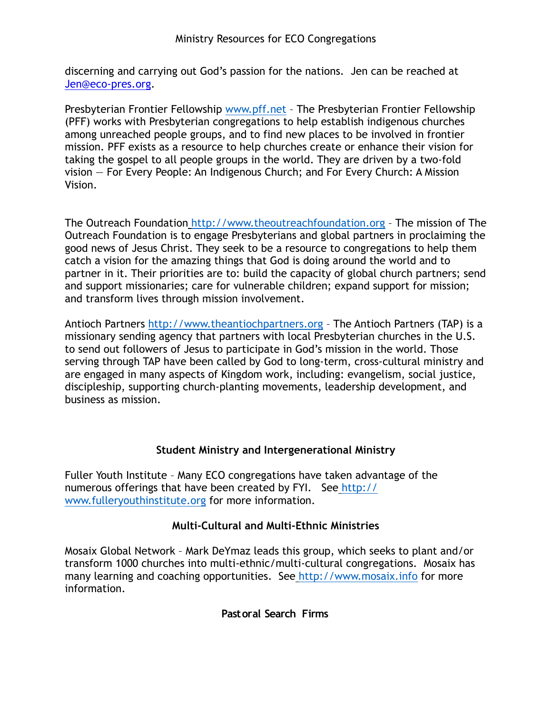discerning and carrying out God's passion for the nations. Jen can be reached at [Jen@eco-pres.org.](mailto:Jen@eco-pres.org)

Presbyterian Frontier Fellowship [www.pff.net](http://www.pff.net) – The Presbyterian Frontier Fellowship (PFF) works with Presbyterian congregations to help establish indigenous churches among unreached people groups, and to find new places to be involved in frontier mission. PFF exists as a resource to help churches create or enhance their vision for taking the gospel to all people groups in the world. They are driven by a two-fold vision — For Every People: An Indigenous Church; and For Every Church: A Mission Vision.

The Outreach Foundation <http://www.theoutreachfoundation.org> – The mission of The Outreach Foundation is to engage Presbyterians and global partners in proclaiming the good news of Jesus Christ. They seek to be a resource to congregations to help them catch a vision for the amazing things that God is doing around the world and to partner in it. Their priorities are to: build the capacity of global church partners; send and support missionaries; care for vulnerable children; expand support for mission; and transform lives through mission involvement.

Antioch Partners<http://www.theantiochpartners.org> – The Antioch Partners (TAP) is a missionary sending agency that partners with local Presbyterian churches in the U.S. to send out followers of Jesus to participate in God's mission in the world. Those serving through TAP have been called by God to long-term, cross-cultural ministry and are engaged in many aspects of Kingdom work, including: evangelism, social justice, discipleship, supporting church-planting movements, leadership development, and business as mission.

# **Student Ministry and Intergenerational Ministry**

Fuller Youth Institute – Many ECO congregations have taken advantage of the [numerous offerings that have been created by FYI. See](http://www.fulleryouthinstitute.org) http:// www.fulleryouthinstitute.org for more information.

# **Multi-Cultural and Multi-Ethnic Ministries**

Mosaix Global Network – Mark DeYmaz leads this group, which seeks to plant and/or transform 1000 churches into multi-ethnic/multi-cultural congregations. Mosaix has many learning and coaching opportunities. See <http://www.mosaix.info>for more information.

**Pastoral Search Firms**